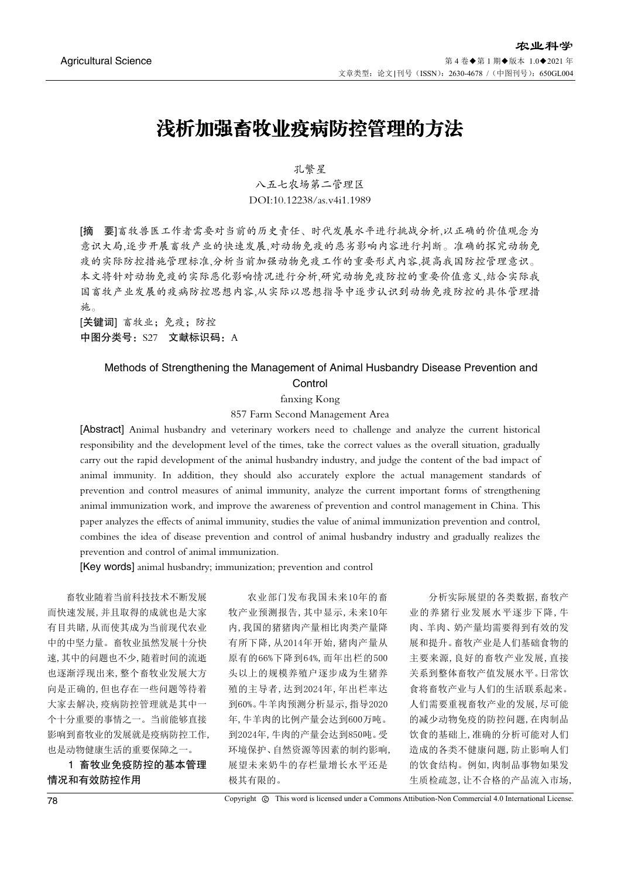## 浅析加强畜牧业疫病防控管理的方法

孔繁星 八五七农场第二管理区 DOI:10.12238/as.v4i1.1989

[摘 要]畜牧兽医工作者需要对当前的历史责任、时代发展水平进行挑战分析,以正确的价值观念为 意识大局,逐步开展畜牧产业的快速发展,对动物免疫的恶劣影响内容进行判断。准确的探究动物免 疫的实际防控措施管理标准,分析当前加强动物免疫工作的重要形式内容,提高我国防控管理意识。 本文将针对动物免疫的实际恶化影响情况进行分析,研究动物免疫防控的重要价值意义,结合实际我 国畜牧产业发展的疫病防控思想内容,从实际以思想指导中逐步认识到动物免疫防控的具体管理措 施。

[关键词] 畜牧业;免疫;防控 中图分类号: S27 文献标识码: A

### Methods of Strengthening the Management of Animal Husbandry Disease Prevention and **Control**

fanxing Kong

857 Farm Second Management Area

[Abstract] Animal husbandry and veterinary workers need to challenge and analyze the current historical responsibility and the development level of the times, take the correct values as the overall situation, gradually carry out the rapid development of the animal husbandry industry, and judge the content of the bad impact of animal immunity. In addition, they should also accurately explore the actual management standards of prevention and control measures of animal immunity, analyze the current important forms of strengthening animal immunization work, and improve the awareness of prevention and control management in China. This paper analyzes the effects of animal immunity, studies the value of animal immunization prevention and control, combines the idea of disease prevention and control of animal husbandry industry and gradually realizes the prevention and control of animal immunization.

[Key words] animal husbandry; immunization; prevention and control

畜牧业随着当前科技技术不断发展 而快速发展,并且取得的成就也是大家 有目共睹,从而使其成为当前现代农业 中的中坚力量。畜牧业虽然发展十分快 速,其中的问题也不少,随着时间的流逝 也逐渐浮现出来,整个畜牧业发展大方 向是正确的,但也存在一些问题等待着 大家去解决,疫病防控管理就是其中一 个十分重要的事情之一。当前能够直接 影响到畜牧业的发展就是疫病防控工作, 也是动物健康生活的重要保障之一。

1 畜牧业免疫防控的基本管理 情况和有效防控作用

农业部门发布我国未来10年的畜 牧产业预测报告,其中显示,未来10年 内,我国的猪猪肉产量相比肉类产量降 有所下降,从2014年开始,猪肉产量从 原有的66%下降到64%,而年出栏的500 头以上的规模养殖户逐步成为生猪养 殖的主导者,达到2024年,年出栏率达 到60%。牛羊肉预测分析显示,指导2020 年,牛羊肉的比例产量会达到600万吨。 到2024年,牛肉的产量会达到850吨。受 环境保护、自然资源等因素的制约影响, 展望未来奶牛的存栏量增长水平还是 极其有限的。

分析实际展望的各类数据,畜牧产 业的养猪行业发展水平逐步下降,牛 肉、羊肉、奶产量均需要得到有效的发 展和提升。畜牧产业是人们基础食物的 主要来源,良好的畜牧产业发展,直接 关系到整体畜牧产值发展水平。日常饮 食将畜牧产业与人们的生活联系起来。 人们需要重视畜牧产业的发展,尽可能 的减少动物免疫的防控问题,在肉制品 饮食的基础上,准确的分析可能对人们 造成的各类不健康问题,防止影响人们 的饮食结构。例如,肉制品事物如果发 生质检疏忽,让不合格的产品流入市场,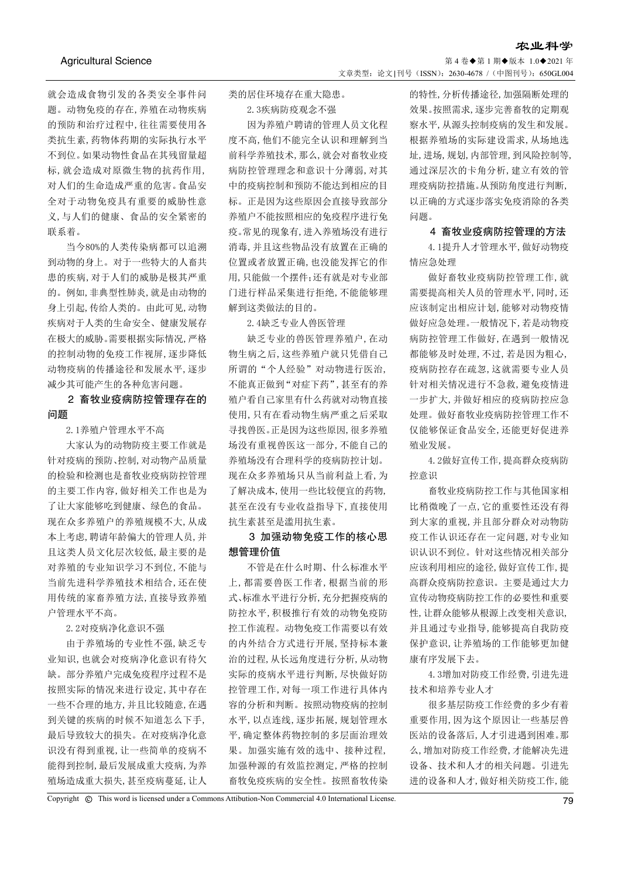第 4 卷◆第 1 期◆版本 1.0◆2021 年 文章类型: 论文 |刊号 (ISSN): 2630-4678 / (中图刊号): 650GL004

就会造成食物引发的各类安全事件问 题。动物免疫的存在,养殖在动物疾病 的预防和治疗过程中,往往需要使用各 类抗生素,药物体药期的实际执行水平 不到位。如果动物性食品在其残留量超 标,就会造成对原微生物的抗药作用, 对人们的生命造成严重的危害。食品安 全对于动物免疫具有重要的威胁性意 义,与人们的健康、食品的安全紧密的 联系着。

当今80%的人类传染病都可以追溯 到动物的身上。对于一些特大的人畜共 患的疾病,对于人们的威胁是极其严重 的。例如,非典型性肺炎,就是由动物的 身上引起,传给人类的。由此可见,动物 疾病对于人类的生命安全、健康发展存 在极大的威胁。需要根据实际情况,严格 的控制动物的免疫工作视屏,逐步降低 动物疫病的传播途径和发展水平,逐步 减少其可能产生的各种危害问题。

## 2 畜牧业疫病防控管理存在的 问题

2.1养殖户管理水平不高

大家认为的动物防疫主要工作就是 针对疫病的预防、控制,对动物产品质量 的检验和检测也是畜牧业疫病防控管理 的主要工作内容,做好相关工作也是为 了让大家能够吃到健康、绿色的食品。 现在众多养殖户的养殖规模不大,从成 本上考虑,聘请年龄偏大的管理人员,并 且这类人员文化层次较低,最主要的是 对养殖的专业知识学习不到位,不能与 当前先进科学养殖技术相结合,还在使 用传统的家畜养殖方法,直接导致养殖 户管理水平不高。

2.2对疫病净化意识不强

由于养殖场的专业性不强,缺乏专 业知识,也就会对疫病净化意识有待欠 缺。部分养殖户完成免疫程序过程不是 按照实际的情况来进行设定,其中存在 一些不合理的地方,并且比较随意,在遇 到关键的疾病的时候不知道怎么下手, 最后导致较大的损失。在对疫病净化意 识没有得到重视,让一些简单的疫病不 能得到控制,最后发展成重大疫病,为养 殖场造成重大损失,甚至疫病蔓延,让人

类的居住环境存在重大隐患。

2.3疾病防疫观念不强

因为养殖户聘请的管理人员文化程 度不高,他们不能完全认识和理解到当 前科学养殖技术,那么,就会对畜牧业疫 病防控管理理念和意识十分薄弱,对其 中的疫病控制和预防不能达到相应的目 标。正是因为这些原因会直接导致部分 养殖户不能按照相应的免疫程序进行免 疫。常见的现象有,进入养殖场没有进行 消毒,并且这些物品没有放置在正确的 位置或者放置正确,也没能发挥它的作 用,只能做一个摆件;还有就是对专业部 门进行样品采集进行拒绝,不能能够理 解到这类做法的目的。

2.4缺乏专业人兽医管理

缺乏专业的兽医管理养殖户,在动 物生病之后,这些养殖户就只凭借自己 所谓的"个人经验"对动物进行医治, 不能真正做到"对症下药",甚至有的养 殖户看自己家里有什么药就对动物直接 使用,只有在看动物生病严重之后采取 寻找兽医。正是因为这些原因,很多养殖 场没有重视兽医这一部分,不能自己的 养殖场没有合理科学的疫病防控计划。 现在众多养殖场只从当前利益上看,为 了解决成本,使用一些比较便宜的药物, 甚至在没有专业收益指导下,直接使用 抗生素甚至是滥用抗生素。

3 加强动物免疫工作的核心思 想管理价值

不管是在什么时期、什么标准水平 上,都需要兽医工作者,根据当前的形 式、标准水平进行分析,充分把握疫病的 防控水平,积极推行有效的动物免疫防 控工作流程。动物免疫工作需要以有效 的内外结合方式进行开展,坚持标本兼 治的过程,从长远角度进行分析,从动物 实际的疫病水平进行判断,尽快做好防 控管理工作,对每一项工作进行具体内 容的分析和判断。按照动物疫病的控制 水平,以点连线,逐步拓展,规划管理水 平,确定整体药物控制的多层面治理效 果。加强实施有效的选中、接种过程, 加强种源的有效监控测定,严格的控制 畜牧免疫疾病的安全性。按照畜牧传染

的特性,分析传播途径,加强隔断处理的 效果。按照需求,逐步完善畜牧的定期观 察水平,从源头控制疫病的发生和发展。 根据养殖场的实际建设需求,从场地选 址,进场,规划,内部管理,到风险控制等, 通过深层次的卡角分析,建立有效的管 理疫病防控措施。从预防角度进行判断, 以正确的方式逐步落实免疫消除的各类 问题。

农业科学

### 4 畜牧业疫病防控管理的方法

4.1提升人才管理水平,做好动物疫 情应急处理

做好畜牧业疫病防控管理工作,就 需要提高相关人员的管理水平,同时,还 应该制定出相应计划,能够对动物疫情 做好应急处理。一般情况下,若是动物疫 病防控管理工作做好,在遇到一般情况 都能够及时处理,不过,若是因为粗心, 疫病防控存在疏忽,这就需要专业人员 针对相关情况进行不急救,避免疫情进 一步扩大,并做好相应的疫病防控应急 处理。做好畜牧业疫病防控管理工作不 仅能够保证食品安全,还能更好促进养 殖业发展。

4.2做好宣传工作,提高群众疫病防 控意识

畜牧业疫病防控工作与其他国家相 比稍微晚了一点,它的重要性还没有得 到大家的重视,并且部分群众对动物防 疫工作认识还存在一定问题,对专业知 识认识不到位。针对这些情况相关部分 应该利用相应的途径,做好宣传工作,提 高群众疫病防控意识。主要是通过大力 宣传动物疫病防控工作的必要性和重要 性,让群众能够从根源上改变相关意识, 并且通过专业指导,能够提高自我防疫 保护意识,让养殖场的工作能够更加健 康有序发展下去。

4.3增加对防疫工作经费,引进先进 技术和培养专业人才

很多基层防疫工作经费的多少有着 重要作用,因为这个原因让一些基层兽 医站的设备落后,人才引进遇到困难。那 么,增加对防疫工作经费,才能解决先进 设备、技术和人才的相关问题。引进先 进的设备和人才,做好相关防疫工作,能

Copyright © This word is licensed under a Commons Attibution-Non Commercial 4.0 International License. 79